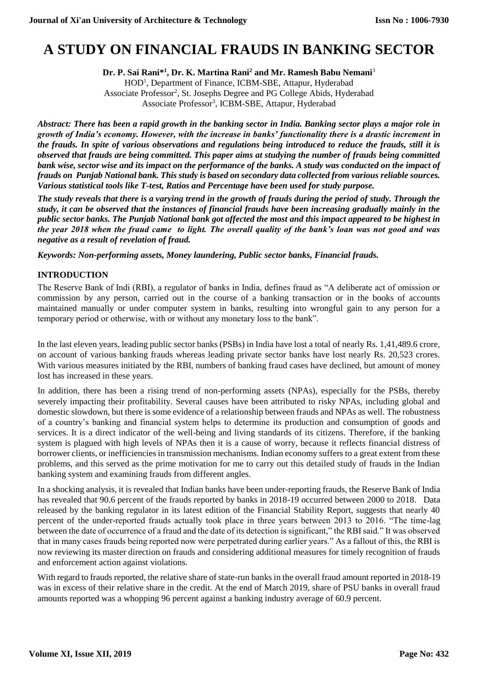# **A STUDY ON FINANCIAL FRAUDS IN BANKING SECTOR**

**Dr. P. Sai Rani\* 1 , Dr. K. Martina Rani<sup>2</sup> and Mr. Ramesh Babu Nemani**<sup>3</sup>

HOD<sup>1</sup>, Department of Finance, ICBM-SBE, Attapur, Hyderabad Associate Professor<sup>2</sup>, St. Josephs Degree and PG College Abids, Hyderabad Associate Professor<sup>3</sup>, ICBM-SBE, Attapur, Hyderabad

*Abstract: There has been a rapid growth in the banking sector in India. Banking sector plays a major role in growth of India's economy. However, with the increase in banks' functionality there is a drastic increment in the frauds. In spite of various observations and regulations being introduced to reduce the frauds, still it is observed that frauds are being committed. This paper aims at studying the number of frauds being committed bank wise, sector wise and its impact on the performance of the banks. A study was conducted on the impact of frauds on Punjab National bank. This study is based on secondary data collected from various reliable sources. Various statistical tools like T-test, Ratios and Percentage have been used for study purpose.*

*The study reveals that there is a varying trend in the growth of frauds during the period of study. Through the study, it can be observed that the instances of financial frauds have been increasing gradually mainly in the public sector banks. The Punjab National bank got affected the most and this impact appeared to be highest in the year 2018 when the fraud came to light. The overall quality of the bank's loan was not good and was negative as a result of revelation of fraud.*

*Keywords: Non-performing assets, Money laundering, Public sector banks, Financial frauds.*

# **INTRODUCTION**

The Reserve Bank of Indi (RBI), a regulator of banks in India, defines fraud as "A deliberate act of omission or commission by any person, carried out in the course of a banking transaction or in the books of accounts maintained manually or under computer system in banks, resulting into wrongful gain to any person for a temporary period or otherwise, with or without any monetary loss to the bank".

In the last eleven years, leading public sector banks (PSBs) in India have lost a total of nearly Rs. 1,41,489.6 crore, on account of various banking frauds whereas leading private sector banks have lost nearly Rs. 20,523 crores. With various measures initiated by the RBI, numbers of banking fraud cases have declined, but amount of money lost has increased in these years.

In addition, there has been a rising trend of non-performing assets (NPAs), especially for the PSBs, thereby severely impacting their profitability. Several causes have been attributed to risky NPAs, including global and domestic slowdown, but there is some evidence of a relationship between frauds and NPAs as well. The robustness of a country's banking and financial system helps to determine its production and consumption of goods and services. It is a direct indicator of the well-being and living standards of its citizens. Therefore, if the banking system is plagued with high levels of NPAs then it is a cause of worry, because it reflects financial distress of borrower clients, or inefficiencies in transmission mechanisms. Indian economy suffers to a great extent from these problems, and this served as the prime motivation for me to carry out this detailed study of frauds in the Indian banking system and examining frauds from different angles.

In a shocking analysis, it is revealed that Indian banks have been under-reporting frauds, the Reserve Bank of India has revealed that 90.6 percent of the frauds reported by banks in 2018-19 occurred between 2000 to 2018. Data released by the banking regulator in its latest edition of the Financial Stability Report, suggests that nearly 40 percent of the under-reported frauds actually took place in three years between 2013 to 2016. "The time-lag between the date of occurrence of a fraud and the date of its detection is significant," the RBI said." It was observed that in many cases frauds being reported now were perpetrated during earlier years." As a fallout of this, the RBI is now reviewing its master direction on frauds and considering additional measures for timely recognition of frauds and enforcement action against violations.

With regard to frauds reported, the relative share of state-run banks in the overall fraud amount reported in 2018-19 was in excess of their relative share in the credit. At the end of March 2019, share of PSU banks in overall fraud amounts reported was a whopping 96 percent against a banking industry average of 60.9 percent.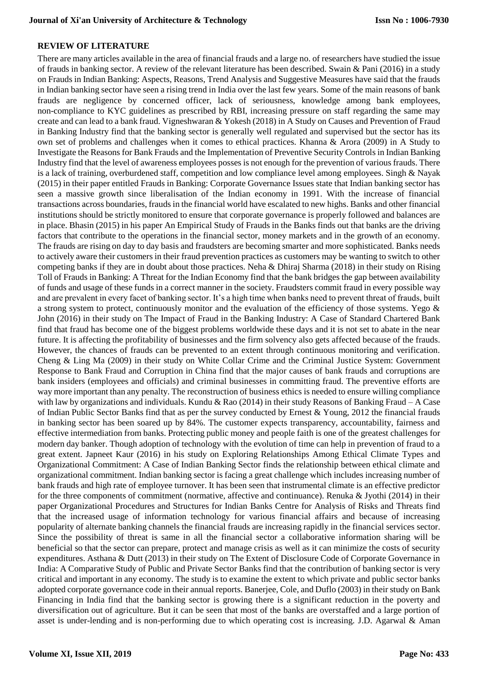# **REVIEW OF LITERATURE**

There are many articles available in the area of financial frauds and a large no. of researchers have studied the issue of frauds in banking sector. A review of the relevant literature has been described. Swain  $\&$  Pani (2016) in a study on Frauds in Indian Banking: Aspects, Reasons, Trend Analysis and Suggestive Measures have said that the frauds in Indian banking sector have seen a rising trend in India over the last few years. Some of the main reasons of bank frauds are negligence by concerned officer, lack of seriousness, knowledge among bank employees, non-compliance to KYC guidelines as prescribed by RBI, increasing pressure on staff regarding the same may create and can lead to a bank fraud. Vigneshwaran & Yokesh (2018) in A Study on Causes and Prevention of Fraud in Banking Industry find that the banking sector is generally well regulated and supervised but the sector has its own set of problems and challenges when it comes to ethical practices. Khanna & Arora (2009) in A Study to Investigate the Reasons for Bank Frauds and the Implementation of Preventive Security Controls in Indian Banking Industry find that the level of awareness employees posses is not enough for the prevention of various frauds. There is a lack of training, overburdened staff, competition and low compliance level among employees. Singh & Nayak (2015) in their paper entitled Frauds in Banking: Corporate Governance Issues state that Indian banking sector has seen a massive growth since liberalisation of the Indian economy in 1991. With the increase of financial transactions across boundaries, frauds in the financial world have escalated to new highs. Banks and other financial institutions should be strictly monitored to ensure that corporate governance is properly followed and balances are in place. Bhasin (2015) in his paper An Empirical Study of Frauds in the Banks finds out that banks are the driving factors that contribute to the operations in the financial sector, money markets and in the growth of an economy. The frauds are rising on day to day basis and fraudsters are becoming smarter and more sophisticated. Banks needs to actively aware their customers in their fraud prevention practices as customers may be wanting to switch to other competing banks if they are in doubt about those practices. Neha & Dhiraj Sharma (2018) in their study on Rising Toll of Frauds in Banking: A Threat for the Indian Economy find that the bank bridges the gap between availability of funds and usage of these funds in a correct manner in the society. Fraudsters commit fraud in every possible way and are prevalent in every facet of banking sector. It's a high time when banks need to prevent threat of frauds, built a strong system to protect, continuously monitor and the evaluation of the efficiency of those systems. Yego & John (2016) in their study on The Impact of Fraud in the Banking Industry: A Case of Standard Chartered Bank find that fraud has become one of the biggest problems worldwide these days and it is not set to abate in the near future. It is affecting the profitability of businesses and the firm solvency also gets affected because of the frauds. However, the chances of frauds can be prevented to an extent through continuous monitoring and verification. Cheng & Ling Ma (2009) in their study on White Collar Crime and the Criminal Justice System: Government Response to Bank Fraud and Corruption in China find that the major causes of bank frauds and corruptions are bank insiders (employees and officials) and criminal businesses in committing fraud. The preventive efforts are way more important than any penalty. The reconstruction of business ethics is needed to ensure willing compliance with law by organizations and individuals. Kundu & Rao (2014) in their study Reasons of Banking Fraud – A Case of Indian Public Sector Banks find that as per the survey conducted by Ernest & Young, 2012 the financial frauds in banking sector has been soared up by 84%. The customer expects transparency, accountability, fairness and effective intermediation from banks. Protecting public money and people faith is one of the greatest challenges for modern day banker. Though adoption of technology with the evolution of time can help in prevention of fraud to a great extent. Japneet Kaur (2016) in his study on Exploring Relationships Among Ethical Climate Types and Organizational Commitment: A Case of Indian Banking Sector finds the relationship between ethical climate and organizational commitment. Indian banking sector is facing a great challenge which includes increasing number of bank frauds and high rate of employee turnover. It has been seen that instrumental climate is an effective predictor for the three components of commitment (normative, affective and continuance). Renuka & Jyothi (2014) in their paper Organizational Procedures and Structures for Indian Banks Centre for Analysis of Risks and Threats find that the increased usage of information technology for various financial affairs and because of increasing popularity of alternate banking channels the financial frauds are increasing rapidly in the financial services sector. Since the possibility of threat is same in all the financial sector a collaborative information sharing will be beneficial so that the sector can prepare, protect and manage crisis as well as it can minimize the costs of security expenditures. Asthana & Dutt (2013) in their study on The Extent of Disclosure Code of Corporate Governance in India: A Comparative Study of Public and Private Sector Banks find that the contribution of banking sector is very critical and important in any economy. The study is to examine the extent to which private and public sector banks adopted corporate governance code in their annual reports. Banerjee, Cole, and Duflo (2003) in their study on Bank Financing in India find that the banking sector is growing there is a significant reduction in the poverty and diversification out of agriculture. But it can be seen that most of the banks are overstaffed and a large portion of asset is under-lending and is non-performing due to which operating cost is increasing. J.D. Agarwal & Aman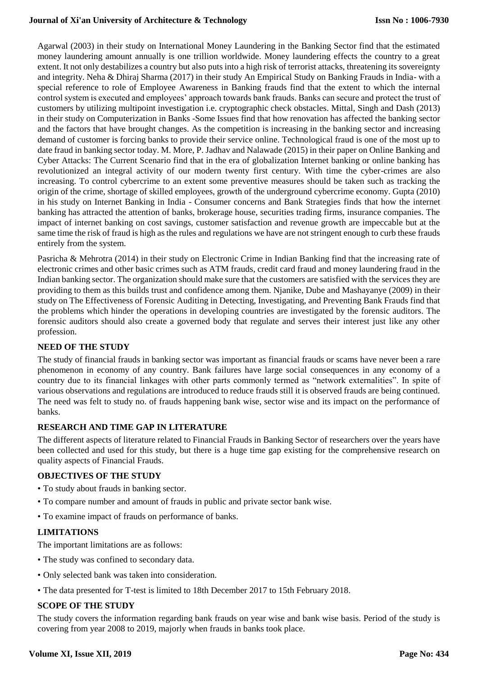### **Journal of Xi'an University of Architecture & Technology**

Agarwal (2003) in their study on International Money Laundering in the Banking Sector find that the estimated money laundering amount annually is one trillion worldwide. Money laundering effects the country to a great extent. It not only destabilizes a country but also puts into a high risk of terrorist attacks, threatening its sovereignty and integrity. Neha & Dhiraj Sharma (2017) in their study An Empirical Study on Banking Frauds in India- with a special reference to role of Employee Awareness in Banking frauds find that the extent to which the internal control system is executed and employees' approach towards bank frauds. Banks can secure and protect the trust of customers by utilizing multipoint investigation i.e. cryptographic check obstacles. Mittal, Singh and Dash (2013) in their study on Computerization in Banks -Some Issues find that how renovation has affected the banking sector and the factors that have brought changes. As the competition is increasing in the banking sector and increasing demand of customer is forcing banks to provide their service online. Technological fraud is one of the most up to date fraud in banking sector today. M. More, P. Jadhav and Nalawade (2015) in their paper on Online Banking and Cyber Attacks: The Current Scenario find that in the era of globalization Internet banking or online banking has revolutionized an integral activity of our modern twenty first century. With time the cyber-crimes are also increasing. To control cybercrime to an extent some preventive measures should be taken such as tracking the origin of the crime, shortage of skilled employees, growth of the underground cybercrime economy. Gupta (2010) in his study on Internet Banking in India - Consumer concerns and Bank Strategies finds that how the internet banking has attracted the attention of banks, brokerage house, securities trading firms, insurance companies. The impact of internet banking on cost savings, customer satisfaction and revenue growth are impeccable but at the same time the risk of fraud is high as the rules and regulations we have are not stringent enough to curb these frauds entirely from the system.

Pasricha & Mehrotra (2014) in their study on Electronic Crime in Indian Banking find that the increasing rate of electronic crimes and other basic crimes such as ATM frauds, credit card fraud and money laundering fraud in the Indian banking sector. The organization should make sure that the customers are satisfied with the services they are providing to them as this builds trust and confidence among them. Njanike, Dube and Mashayanye (2009) in their study on The Effectiveness of Forensic Auditing in Detecting, Investigating, and Preventing Bank Frauds find that the problems which hinder the operations in developing countries are investigated by the forensic auditors. The forensic auditors should also create a governed body that regulate and serves their interest just like any other profession.

# **NEED OF THE STUDY**

The study of financial frauds in banking sector was important as financial frauds or scams have never been a rare phenomenon in economy of any country. Bank failures have large social consequences in any economy of a country due to its financial linkages with other parts commonly termed as "network externalities". In spite of various observations and regulations are introduced to reduce frauds still it is observed frauds are being continued. The need was felt to study no. of frauds happening bank wise, sector wise and its impact on the performance of banks.

# **RESEARCH AND TIME GAP IN LITERATURE**

The different aspects of literature related to Financial Frauds in Banking Sector of researchers over the years have been collected and used for this study, but there is a huge time gap existing for the comprehensive research on quality aspects of Financial Frauds.

# **OBJECTIVES OF THE STUDY**

- To study about frauds in banking sector.
- To compare number and amount of frauds in public and private sector bank wise.
- To examine impact of frauds on performance of banks.

# **LIMITATIONS**

The important limitations are as follows:

- The study was confined to secondary data.
- Only selected bank was taken into consideration.
- The data presented for T-test is limited to 18th December 2017 to 15th February 2018.

# **SCOPE OF THE STUDY**

The study covers the information regarding bank frauds on year wise and bank wise basis. Period of the study is covering from year 2008 to 2019, majorly when frauds in banks took place.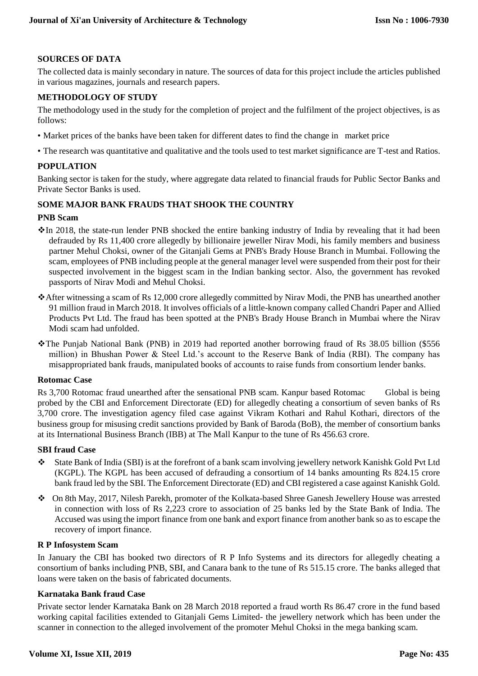# **SOURCES OF DATA**

The collected data is mainly secondary in nature. The sources of data for this project include the articles published in various magazines, journals and research papers.

# **METHODOLOGY OF STUDY**

The methodology used in the study for the completion of project and the fulfilment of the project objectives, is as follows:

- Market prices of the banks have been taken for different dates to find the change in market price
- The research was quantitative and qualitative and the tools used to test market significance are T-test and Ratios.

# **POPULATION**

Banking sector is taken for the study, where aggregate data related to financial frauds for Public Sector Banks and Private Sector Banks is used.

# **SOME MAJOR BANK FRAUDS THAT SHOOK THE COUNTRY**

### **PNB Scam**

- $\cdot$  In 2018, the state-run lender PNB shocked the entire banking industry of India by revealing that it had been defrauded by Rs 11,400 crore allegedly by billionaire jeweller Nirav Modi, his family members and business partner Mehul Choksi, owner of the Gitanjali Gems at PNB's Brady House Branch in Mumbai. Following the scam, employees of PNB including people at the general manager level were suspended from their post for their suspected involvement in the biggest scam in the Indian banking sector. Also, the government has revoked passports of Nirav Modi and Mehul Choksi.
- After witnessing a scam of Rs 12,000 crore allegedly committed by Nirav Modi, the PNB has unearthed another 91 million fraud in March 2018. It involves officials of a little-known company called Chandri Paper and Allied Products Pvt Ltd. The fraud has been spotted at the PNB's Brady House Branch in Mumbai where the Nirav Modi scam had unfolded.
- The Punjab National Bank (PNB) in 2019 had reported another borrowing fraud of Rs 38.05 billion (\$556 million) in Bhushan Power & Steel Ltd.'s account to the Reserve Bank of India (RBI). The company has misappropriated bank frauds, manipulated books of accounts to raise funds from consortium lender banks.

### **Rotomac Case**

Rs 3,700 Rotomac fraud unearthed after the sensational PNB scam. Kanpur based Rotomac Global is being probed by the CBI and Enforcement Directorate (ED) for allegedly cheating a consortium of seven banks of Rs 3,700 crore. The investigation agency filed case against Vikram Kothari and Rahul Kothari, directors of the business group for misusing credit sanctions provided by Bank of Baroda (BoB), the member of consortium banks at its International Business Branch (IBB) at The Mall Kanpur to the tune of Rs 456.63 crore.

### **SBI fraud Case**

- State Bank of India (SBI) is at the forefront of a bank scam involving jewellery network Kanishk Gold Pvt Ltd (KGPL). The KGPL has been accused of defrauding a consortium of 14 banks amounting Rs 824.15 crore bank fraud led by the SBI. The Enforcement Directorate (ED) and CBI registered a case against Kanishk Gold.
- On 8th May, 2017, Nilesh Parekh, promoter of the Kolkata-based Shree Ganesh Jewellery House was arrested in connection with loss of Rs 2,223 crore to association of 25 banks led by the State Bank of India. The Accused was using the import finance from one bank and export finance from another bank so as to escape the recovery of import finance.

#### **R P Infosystem Scam**

In January the CBI has booked two directors of R P Info Systems and its directors for allegedly cheating a consortium of banks including PNB, SBI, and Canara bank to the tune of Rs 515.15 crore. The banks alleged that loans were taken on the basis of fabricated documents.

# **Karnataka Bank fraud Case**

Private sector lender Karnataka Bank on 28 March 2018 reported a fraud worth Rs 86.47 crore in the fund based working capital facilities extended to Gitanjali Gems Limited- the jewellery network which has been under the scanner in connection to the alleged involvement of the promoter Mehul Choksi in the mega banking scam.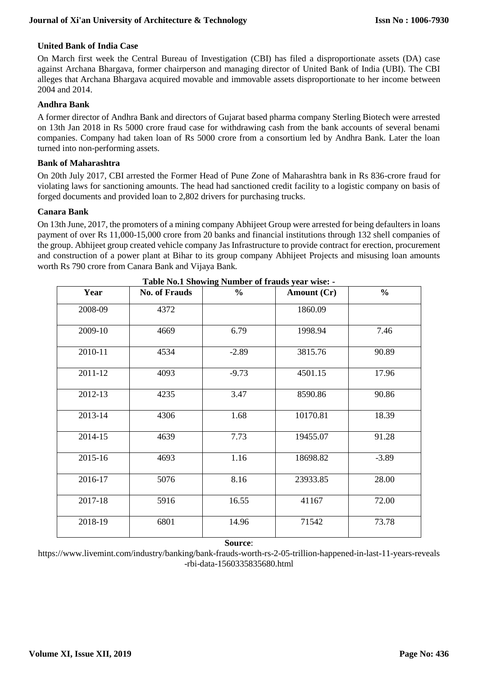# **United Bank of India Case**

On March first week the Central Bureau of Investigation (CBI) has filed a disproportionate assets (DA) case against Archana Bhargava, former chairperson and managing director of United Bank of India (UBI). The CBI alleges that Archana Bhargava acquired movable and immovable assets disproportionate to her income between 2004 and 2014.

# **Andhra Bank**

A former director of Andhra Bank and directors of Gujarat based pharma company Sterling Biotech were arrested on 13th Jan 2018 in Rs 5000 crore fraud case for withdrawing cash from the bank accounts of several benami companies. Company had taken loan of Rs 5000 crore from a consortium led by Andhra Bank. Later the loan turned into non-performing assets.

# **Bank of Maharashtra**

On 20th July 2017, CBI arrested the Former Head of Pune Zone of Maharashtra bank in Rs 836-crore fraud for violating laws for sanctioning amounts. The head had sanctioned credit facility to a logistic company on basis of forged documents and provided loan to 2,802 drivers for purchasing trucks.

### **Canara Bank**

On 13th June, 2017, the promoters of a mining company Abhijeet Group were arrested for being defaulters in loans payment of over Rs 11,000-15,000 crore from 20 banks and financial institutions through 132 shell companies of the group. Abhijeet group created vehicle company Jas Infrastructure to provide contract for erection, procurement and construction of a power plant at Bihar to its group company Abhijeet Projects and misusing loan amounts worth Rs 790 crore from Canara Bank and Vijaya Bank*.*

| Year    | <b>No. of Frauds</b> | rable roll blivwing runner of frauds year when<br>$\frac{6}{10}$ | Amount (Cr) | $\frac{0}{0}$ |
|---------|----------------------|------------------------------------------------------------------|-------------|---------------|
| 2008-09 | 4372                 |                                                                  | 1860.09     |               |
| 2009-10 | 4669                 | 6.79                                                             | 1998.94     | 7.46          |
| 2010-11 | 4534                 | $-2.89$                                                          | 3815.76     | 90.89         |
| 2011-12 | 4093                 | $-9.73$                                                          | 4501.15     | 17.96         |
| 2012-13 | 4235                 | 3.47                                                             | 8590.86     | 90.86         |
| 2013-14 | 4306                 | 1.68                                                             | 10170.81    | 18.39         |
| 2014-15 | 4639                 | 7.73                                                             | 19455.07    | 91.28         |
| 2015-16 | 4693                 | 1.16                                                             | 18698.82    | $-3.89$       |
| 2016-17 | 5076                 | 8.16                                                             | 23933.85    | 28.00         |
| 2017-18 | 5916                 | 16.55                                                            | 41167       | 72.00         |
| 2018-19 | 6801                 | 14.96                                                            | 71542       | 73.78         |

**Table No.1 Showing Number of frauds year wise: -**

**Source**:

https://www.livemint.com/industry/banking/bank-frauds-worth-rs-2-05-trillion-happened-in-last-11-years-reveals -rbi-data-1560335835680.html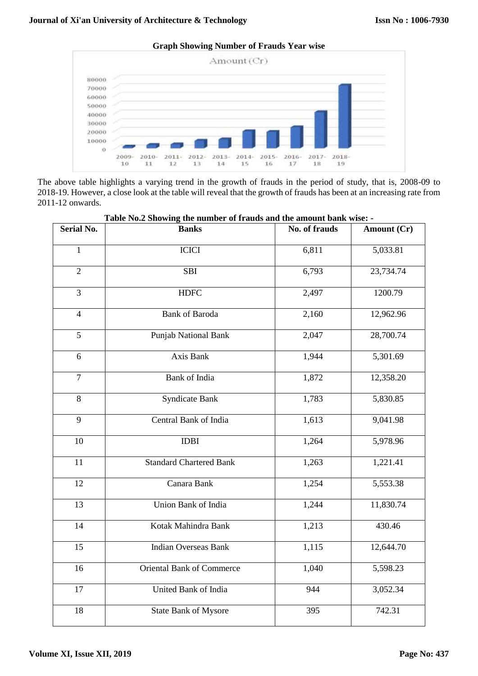**Graph Showing Number of Frauds Year wise**



The above table highlights a varying trend in the growth of frauds in the period of study, that is, 2008-09 to 2018-19. However, a close look at the table will reveal that the growth of frauds has been at an increasing rate from 2011-12 onwards.

| rable ivo.2 Showing the humber of frauus and the amount bank wise: - |                                |               |             |  |  |
|----------------------------------------------------------------------|--------------------------------|---------------|-------------|--|--|
| <b>Serial No.</b>                                                    | <b>Banks</b>                   | No. of frauds | Amount (Cr) |  |  |
| $\mathbf{1}$                                                         | <b>ICICI</b>                   | 6,811         | 5,033.81    |  |  |
| $\overline{2}$                                                       | <b>SBI</b>                     | 6,793         | 23,734.74   |  |  |
| $\overline{3}$                                                       | <b>HDFC</b>                    | 2,497         | 1200.79     |  |  |
| $\overline{4}$                                                       | <b>Bank of Baroda</b>          | 2,160         | 12,962.96   |  |  |
| 5                                                                    | Punjab National Bank           | 2,047         | 28,700.74   |  |  |
| 6                                                                    | Axis Bank                      | 1,944         | 5,301.69    |  |  |
| $\tau$                                                               | Bank of India                  | 1,872         | 12,358.20   |  |  |
| $8\,$                                                                | <b>Syndicate Bank</b>          | 1,783         | 5,830.85    |  |  |
| 9                                                                    | Central Bank of India          | 1,613         | 9,041.98    |  |  |
| 10                                                                   | <b>IDBI</b>                    | 1,264         | 5,978.96    |  |  |
| 11                                                                   | <b>Standard Chartered Bank</b> | 1,263         | 1,221.41    |  |  |
| 12                                                                   | Canara Bank                    | 1,254         | 5,553.38    |  |  |
| 13                                                                   | Union Bank of India            | 1,244         | 11,830.74   |  |  |
| 14                                                                   | Kotak Mahindra Bank            | 1,213         | 430.46      |  |  |
| 15                                                                   | <b>Indian Overseas Bank</b>    | 1,115         | 12,644.70   |  |  |
| 16                                                                   | Oriental Bank of Commerce      | 1,040         | 5,598.23    |  |  |
| 17                                                                   | United Bank of India           | 944           | 3,052.34    |  |  |
| 18                                                                   | <b>State Bank of Mysore</b>    | 395           | 742.31      |  |  |

**Table No.2 Showing the number of frauds and the amount bank wise: -**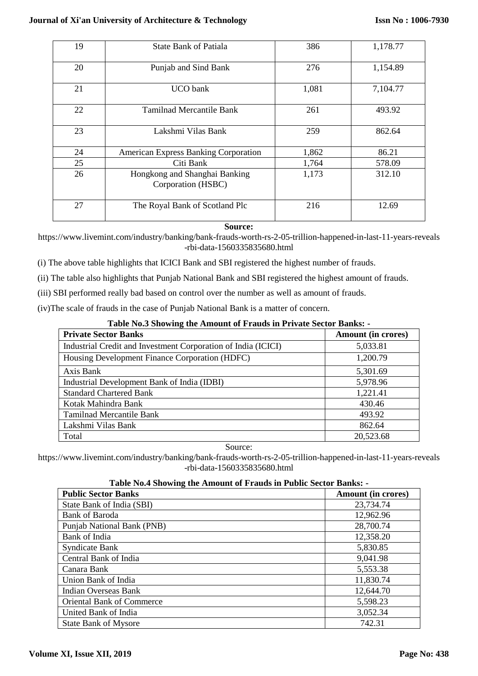| 19 | <b>State Bank of Patiala</b>                        | 386   | 1,178.77 |
|----|-----------------------------------------------------|-------|----------|
| 20 | Punjab and Sind Bank                                | 276   | 1,154.89 |
| 21 | <b>UCO</b> bank                                     | 1,081 | 7,104.77 |
| 22 | Tamilnad Mercantile Bank                            | 261   | 493.92   |
| 23 | Lakshmi Vilas Bank                                  | 259   | 862.64   |
| 24 | <b>American Express Banking Corporation</b>         | 1,862 | 86.21    |
| 25 | Citi Bank                                           | 1,764 | 578.09   |
| 26 | Hongkong and Shanghai Banking<br>Corporation (HSBC) | 1,173 | 312.10   |
| 27 | The Royal Bank of Scotland Plc                      | 216   | 12.69    |

# **Source:**

https://www.livemint.com/industry/banking/bank-frauds-worth-rs-2-05-trillion-happened-in-last-11-years-reveals -rbi-data-1560335835680.html

- (i) The above table highlights that ICICI Bank and SBI registered the highest number of frauds.
- (ii) The table also highlights that Punjab National Bank and SBI registered the highest amount of frauds.
- (iii) SBI performed really bad based on control over the number as well as amount of frauds.
- (iv)The scale of frauds in the case of Punjab National Bank is a matter of concern.

# **Table No.3 Showing the Amount of Frauds in Private Sector Banks: -**

| <b>Private Sector Banks</b>                                   | <b>Amount (in crores)</b> |
|---------------------------------------------------------------|---------------------------|
| Industrial Credit and Investment Corporation of India (ICICI) | 5,033.81                  |
| Housing Development Finance Corporation (HDFC)                | 1,200.79                  |
| Axis Bank                                                     | 5,301.69                  |
| Industrial Development Bank of India (IDBI)                   | 5,978.96                  |
| <b>Standard Chartered Bank</b>                                | 1,221.41                  |
| Kotak Mahindra Bank                                           | 430.46                    |
| <b>Tamilnad Mercantile Bank</b>                               | 493.92                    |
| Lakshmi Vilas Bank                                            | 862.64                    |
| Total                                                         | 20,523.68                 |

Source:

https://www.livemint.com/industry/banking/bank-frauds-worth-rs-2-05-trillion-happened-in-last-11-years-reveals -rbi-data-1560335835680.html

# **Table No.4 Showing the Amount of Frauds in Public Sector Banks: -**

| <b>Public Sector Banks</b>       | <b>Amount (in crores)</b> |
|----------------------------------|---------------------------|
| State Bank of India (SBI)        | 23,734.74                 |
| <b>Bank of Baroda</b>            | 12,962.96                 |
| Punjab National Bank (PNB)       | 28,700.74                 |
| Bank of India                    | 12,358.20                 |
| <b>Syndicate Bank</b>            | 5,830.85                  |
| Central Bank of India            | 9,041.98                  |
| Canara Bank                      | 5,553.38                  |
| Union Bank of India              | 11,830.74                 |
| Indian Overseas Bank             | 12,644.70                 |
| <b>Oriental Bank of Commerce</b> | 5,598.23                  |
| United Bank of India             | 3,052.34                  |
| <b>State Bank of Mysore</b>      | 742.31                    |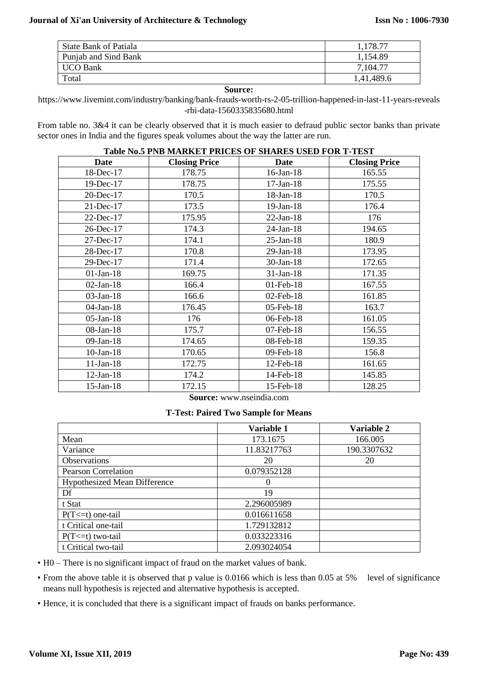| State Bank of Patiala | ,178.77    |
|-----------------------|------------|
| Punjab and Sind Bank  | 1,154.89   |
| <b>UCO Bank</b>       | 7,104.77   |
| Total                 | 1,41,489.6 |

#### **Source:**

https://www.livemint.com/industry/banking/bank-frauds-worth-rs-2-05-trillion-happened-in-last-11-years-reveals -rbi-data-1560335835680.html

From table no. 3&4 it can be clearly observed that it is much easier to defraud public sector banks than private sector ones in India and the figures speak volumes about the way the latter are run.

### **Table No.5 PNB MARKET PRICES OF SHARES USED FOR T-TEST**

| <b>Date</b>     | <b>Closing Price</b><br><b>Date</b> |                 | <b>Closing Price</b> |  |
|-----------------|-------------------------------------|-----------------|----------------------|--|
| 18-Dec-17       | 178.75                              | $16$ -Jan- $18$ | 165.55               |  |
| 19-Dec-17       | 178.75                              | $17-Jan-18$     | 175.55               |  |
| 20-Dec-17       | 170.5                               | 18-Jan-18       | 170.5                |  |
| 21-Dec-17       | 173.5                               | $19-Jan-18$     | 176.4                |  |
| 22-Dec-17       | 175.95                              | $22-Jan-18$     | 176                  |  |
| 26-Dec-17       | 174.3                               | $24-Jan-18$     | 194.65               |  |
| 27-Dec-17       | 174.1                               | $25$ -Jan-18    | 180.9                |  |
| 28-Dec-17       | 170.8                               | $29$ -Jan- $18$ | 173.95               |  |
| 29-Dec-17       | 171.4                               | 30-Jan-18       | 172.65               |  |
| $01-Jan-18$     | 169.75                              | $31-Jan-18$     | 171.35               |  |
| $02-Jan-18$     | 166.4                               | $01$ -Feb- $18$ | 167.55               |  |
| $03-Jan-18$     | 166.6                               | 02-Feb-18       | 161.85               |  |
| $04$ -Jan-18    | 176.45                              | 05-Feb-18       | 163.7                |  |
| $05$ -Jan-18    | 176                                 | 06-Feb-18       | 161.05               |  |
| 08-Jan-18       | 175.7                               | 07-Feb-18       | 156.55               |  |
| $09-Jan-18$     | 174.65                              | 08-Feb-18       | 159.35               |  |
| $10-Jan-18$     | 170.65                              | 09-Feb-18       | 156.8                |  |
| $11-Jan-18$     | 172.75<br>12-Feb-18                 |                 | 161.65               |  |
| $12-Jan-18$     | 174.2<br>14-Feb-18                  |                 | 145.85               |  |
| $15$ -Jan- $18$ | 172.15                              | 15-Feb-18       | 128.25               |  |

**Source:** www.nseindia.com

#### **T-Test: Paired Two Sample for Means**

|                                     | Variable 1  | Variable 2  |
|-------------------------------------|-------------|-------------|
| Mean                                | 173.1675    | 166.005     |
| Variance                            | 11.83217763 | 190.3307632 |
| <b>Observations</b>                 | 20          | 20          |
| <b>Pearson Correlation</b>          | 0.079352128 |             |
| <b>Hypothesized Mean Difference</b> |             |             |
| Df                                  | 19          |             |
| t Stat                              | 2.296005989 |             |
| $P(T \le t)$ one-tail               | 0.016611658 |             |
| t Critical one-tail                 | 1.729132812 |             |
| $P(T \le t)$ two-tail               | 0.033223316 |             |
| t Critical two-tail                 | 2.093024054 |             |

• H0 – There is no significant impact of fraud on the market values of bank.

• From the above table it is observed that p value is 0.0166 which is less than 0.05 at 5% level of significance means null hypothesis is rejected and alternative hypothesis is accepted.

• Hence, it is concluded that there is a significant impact of frauds on banks performance.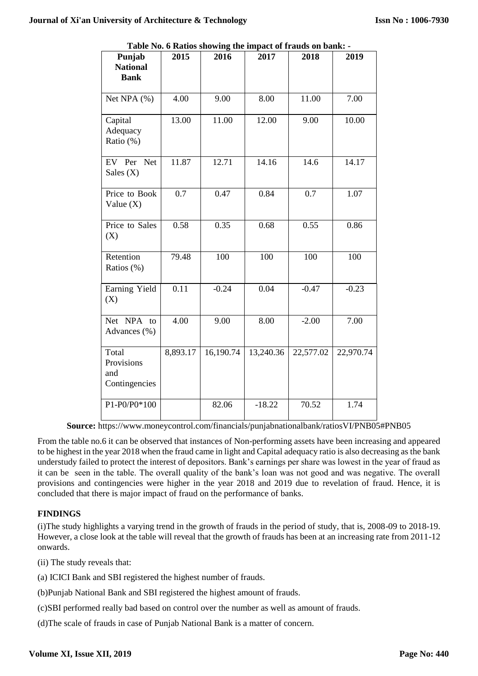| Punjab<br><b>National</b>                   | 2015     | 2016                   | 2017      | 2018      | 2019      |
|---------------------------------------------|----------|------------------------|-----------|-----------|-----------|
| <b>Bank</b>                                 |          |                        |           |           |           |
| Net NPA (%)                                 | 4.00     | 9.00                   | 8.00      | 11.00     | 7.00      |
| Capital<br>Adequacy<br>Ratio (%)            | 13.00    | 11.00                  | 12.00     | 9.00      | 10.00     |
| EV Per Net<br>Sales $(X)$                   | 11.87    | 12.71                  | 14.16     | 14.6      | 14.17     |
| Price to Book<br>Value $(X)$                | 0.7      | 0.47                   | 0.84      | 0.7       | 1.07      |
| Price to Sales<br>(X)                       | 0.58     | 0.35                   | 0.68      | 0.55      | 0.86      |
| Retention<br>Ratios (%)                     | 79.48    | 100                    | 100       | 100       | 100       |
| Earning Yield<br>(X)                        | 0.11     | $-0.24$                | 0.04      | $-0.47$   | $-0.23$   |
| Net NPA to<br>Advances (%)                  | 4.00     | 9.00                   | 8.00      | $-2.00$   | 7.00      |
| Total<br>Provisions<br>and<br>Contingencies | 8,893.17 | $16,190.\overline{74}$ | 13,240.36 | 22,577.02 | 22,970.74 |
| P1-P0/P0*100                                |          | 82.06                  | $-18.22$  | 70.52     | 1.74      |

**Table No. 6 Ratios showing the impact of frauds on bank: -**

**Source:** https://www.moneycontrol.com/financials/punjabnationalbank/ratiosVI/PNB05#PNB05

From the table no.6 it can be observed that instances of Non-performing assets have been increasing and appeared to be highest in the year 2018 when the fraud came in light and Capital adequacy ratio is also decreasing as the bank understudy failed to protect the interest of depositors. Bank's earnings per share was lowest in the year of fraud as it can be seen in the table. The overall quality of the bank's loan was not good and was negative. The overall provisions and contingencies were higher in the year 2018 and 2019 due to revelation of fraud. Hence, it is concluded that there is major impact of fraud on the performance of banks.

# **FINDINGS**

(i)The study highlights a varying trend in the growth of frauds in the period of study, that is, 2008-09 to 2018-19. However, a close look at the table will reveal that the growth of frauds has been at an increasing rate from 2011-12 onwards.

(ii) The study reveals that:

- (a) ICICI Bank and SBI registered the highest number of frauds.
- (b)Punjab National Bank and SBI registered the highest amount of frauds.

(c)SBI performed really bad based on control over the number as well as amount of frauds.

(d)The scale of frauds in case of Punjab National Bank is a matter of concern.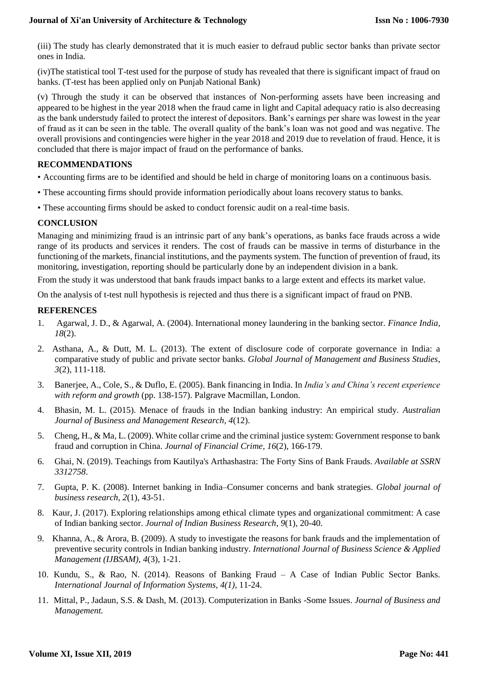(iii) The study has clearly demonstrated that it is much easier to defraud public sector banks than private sector ones in India.

(iv)The statistical tool T-test used for the purpose of study has revealed that there is significant impact of fraud on banks. (T-test has been applied only on Punjab National Bank)

(v) Through the study it can be observed that instances of Non-performing assets have been increasing and appeared to be highest in the year 2018 when the fraud came in light and Capital adequacy ratio is also decreasing as the bank understudy failed to protect the interest of depositors. Bank's earnings per share was lowest in the year of fraud as it can be seen in the table. The overall quality of the bank's loan was not good and was negative. The overall provisions and contingencies were higher in the year 2018 and 2019 due to revelation of fraud. Hence, it is concluded that there is major impact of fraud on the performance of banks.

# **RECOMMENDATIONS**

- Accounting firms are to be identified and should be held in charge of monitoring loans on a continuous basis.
- These accounting firms should provide information periodically about loans recovery status to banks.
- These accounting firms should be asked to conduct forensic audit on a real-time basis.

# **CONCLUSION**

Managing and minimizing fraud is an intrinsic part of any bank's operations, as banks face frauds across a wide range of its products and services it renders. The cost of frauds can be massive in terms of disturbance in the functioning of the markets, financial institutions, and the payments system. The function of prevention of fraud, its monitoring, investigation, reporting should be particularly done by an independent division in a bank.

From the study it was understood that bank frauds impact banks to a large extent and effects its market value.

On the analysis of t-test null hypothesis is rejected and thus there is a significant impact of fraud on PNB.

# **REFERENCES**

- 1. Agarwal, J. D., & Agarwal, A. (2004). International money laundering in the banking sector. *Finance India*, *18*(2).
- 2. Asthana, A., & Dutt, M. L. (2013). The extent of disclosure code of corporate governance in India: a comparative study of public and private sector banks. *Global Journal of Management and Business Studies*, *3*(2), 111-118.
- 3. Banerjee, A., Cole, S., & Duflo, E. (2005). Bank financing in India. In *India's and China's recent experience with reform and growth* (pp. 138-157). Palgrave Macmillan, London.
- 4. Bhasin, M. L. (2015). Menace of frauds in the Indian banking industry: An empirical study. *Australian Journal of Business and Management Research*, *4*(12).
- 5. Cheng, H., & Ma, L. (2009). White collar crime and the criminal justice system: Government response to bank fraud and corruption in China. *Journal of Financial Crime*, *16*(2), 166-179.
- 6. Ghai, N. (2019). Teachings from Kautilya's Arthashastra: The Forty Sins of Bank Frauds. *Available at SSRN 3312758*.
- 7. Gupta, P. K. (2008). Internet banking in India–Consumer concerns and bank strategies. *Global journal of business research*, *2*(1), 43-51.
- 8. Kaur, J. (2017). Exploring relationships among ethical climate types and organizational commitment: A case of Indian banking sector. *Journal of Indian Business Research*, *9*(1), 20-40.
- 9. Khanna, A., & Arora, B. (2009). A study to investigate the reasons for bank frauds and the implementation of preventive security controls in Indian banking industry. *International Journal of Business Science & Applied Management (IJBSAM)*, *4*(3), 1-21.
- 10. Kundu, S., & Rao, N. (2014). Reasons of Banking Fraud A Case of Indian Public Sector Banks. *International Journal of Information Systems, 4(1),* 11-24.
- 11. Mittal, P., Jadaun, S.S. & Dash, M. (2013). Computerization in Banks -Some Issues. *Journal of Business and Management.*